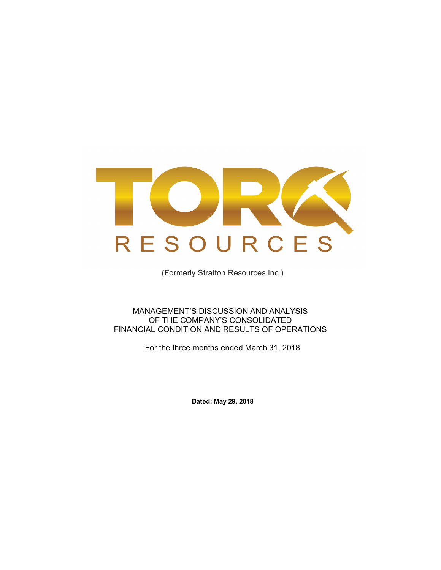

(Formerly Stratton Resources Inc.)

MANAGEMENT'S DISCUSSION AND ANALYSIS OF THE COMPANY'S CONSOLIDATED FINANCIAL CONDITION AND RESULTS OF OPERATIONS

For the three months ended March 31, 2018

**Dated: May 29, 2018**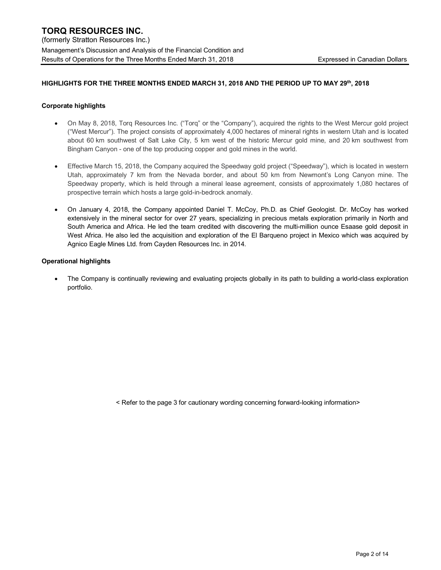## **HIGHLIGHTS FOR THE THREE MONTHS ENDED MARCH 31, 2018 AND THE PERIOD UP TO MAY 29th, 2018**

### **Corporate highlights**

- On May 8, 2018, Torq Resources Inc. ("Torq" or the "Company"), acquired the rights to the West Mercur gold project ("West Mercur"). The project consists of approximately 4,000 hectares of mineral rights in western Utah and is located about 60 km southwest of Salt Lake City, 5 km west of the historic Mercur gold mine, and 20 km southwest from Bingham Canyon - one of the top producing copper and gold mines in the world.
- Effective March 15, 2018, the Company acquired the Speedway gold project ("Speedway"), which is located in western Utah, approximately 7 km from the Nevada border, and about 50 km from Newmont's Long Canyon mine. The Speedway property, which is held through a mineral lease agreement, consists of approximately 1,080 hectares of prospective terrain which hosts a large gold-in-bedrock anomaly.
- On January 4, 2018, the Company appointed Daniel T. McCoy, Ph.D. as Chief Geologist. Dr. McCoy has worked extensively in the mineral sector for over 27 years, specializing in precious metals exploration primarily in North and South America and Africa. He led the team credited with discovering the multi-million ounce Esaase gold deposit in West Africa. He also led the acquisition and exploration of the El Barqueno project in Mexico which was acquired by Agnico Eagle Mines Ltd. from Cayden Resources Inc. in 2014.

### **Operational highlights**

• The Company is continually reviewing and evaluating projects globally in its path to building a world-class exploration portfolio.

< Refer to the page 3 for cautionary wording concerning forward-looking information>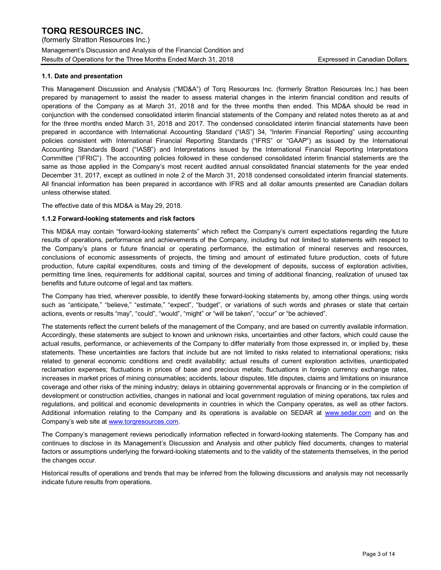## **1.1. Date and presentation**

This Management Discussion and Analysis ("MD&A") of Torq Resources Inc. (formerly Stratton Resources Inc.) has been prepared by management to assist the reader to assess material changes in the interim financial condition and results of operations of the Company as at March 31, 2018 and for the three months then ended. This MD&A should be read in conjunction with the condensed consolidated interim financial statements of the Company and related notes thereto as at and for the three months ended March 31, 2018 and 2017. The condensed consolidated interim financial statements have been prepared in accordance with International Accounting Standard ("IAS") 34, "Interim Financial Reporting" using accounting policies consistent with International Financial Reporting Standards ("IFRS" or "GAAP") as issued by the International Accounting Standards Board ("IASB") and Interpretations issued by the International Financial Reporting Interpretations Committee ("IFRIC"). The accounting policies followed in these condensed consolidated interim financial statements are the same as those applied in the Company's most recent audited annual consolidated financial statements for the year ended December 31, 2017, except as outlined in note 2 of the March 31, 2018 condensed consolidated interim financial statements. All financial information has been prepared in accordance with IFRS and all dollar amounts presented are Canadian dollars unless otherwise stated.

The effective date of this MD&A is May 29, 2018.

### **1.1.2 Forward-looking statements and risk factors**

This MD&A may contain "forward-looking statements" which reflect the Company's current expectations regarding the future results of operations, performance and achievements of the Company, including but not limited to statements with respect to the Company's plans or future financial or operating performance, the estimation of mineral reserves and resources, conclusions of economic assessments of projects, the timing and amount of estimated future production, costs of future production, future capital expenditures, costs and timing of the development of deposits, success of exploration activities, permitting time lines, requirements for additional capital, sources and timing of additional financing, realization of unused tax benefits and future outcome of legal and tax matters.

The Company has tried, wherever possible, to identify these forward-looking statements by, among other things, using words such as "anticipate," "believe," "estimate," "expect", "budget", or variations of such words and phrases or state that certain actions, events or results "may", "could", "would", "might" or "will be taken", "occur" or "be achieved".

The statements reflect the current beliefs of the management of the Company, and are based on currently available information. Accordingly, these statements are subject to known and unknown risks, uncertainties and other factors, which could cause the actual results, performance, or achievements of the Company to differ materially from those expressed in, or implied by, these statements. These uncertainties are factors that include but are not limited to risks related to international operations; risks related to general economic conditions and credit availability; actual results of current exploration activities, unanticipated reclamation expenses; fluctuations in prices of base and precious metals; fluctuations in foreign currency exchange rates, increases in market prices of mining consumables; accidents, labour disputes, title disputes, claims and limitations on insurance coverage and other risks of the mining industry; delays in obtaining governmental approvals or financing or in the completion of development or construction activities, changes in national and local government regulation of mining operations, tax rules and regulations, and political and economic developments in countries in which the Company operates, as well as other factors. Additional information relating to the Company and its operations is available on SEDAR at www.sedar.com and on the Company's web site at www.torqresources.com.

The Company's management reviews periodically information reflected in forward-looking statements. The Company has and continues to disclose in its Management's Discussion and Analysis and other publicly filed documents, changes to material factors or assumptions underlying the forward-looking statements and to the validity of the statements themselves, in the period the changes occur.

Historical results of operations and trends that may be inferred from the following discussions and analysis may not necessarily indicate future results from operations.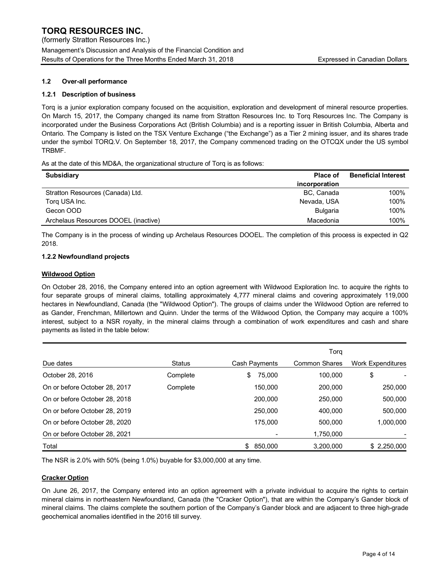## **1.2 Over-all performance**

## **1.2.1 Description of business**

Torq is a junior exploration company focused on the acquisition, exploration and development of mineral resource properties. On March 15, 2017, the Company changed its name from Stratton Resources Inc. to Torq Resources Inc. The Company is incorporated under the Business Corporations Act (British Columbia) and is a reporting issuer in British Columbia, Alberta and Ontario. The Company is listed on the TSX Venture Exchange ("the Exchange") as a Tier 2 mining issuer, and its shares trade under the symbol TORQ.V. On September 18, 2017, the Company commenced trading on the OTCQX under the US symbol TRBMF.

As at the date of this MD&A, the organizational structure of Torq is as follows:

| <b>Subsidiary</b>                    | <b>Place of</b> | <b>Beneficial Interest</b> |
|--------------------------------------|-----------------|----------------------------|
|                                      | incorporation   |                            |
| Stratton Resources (Canada) Ltd.     | BC, Canada      | 100%                       |
| Torg USA Inc.                        | Nevada, USA     | 100%                       |
| Gecon OOD                            | <b>Bulgaria</b> | 100%                       |
| Archelaus Resources DOOEL (inactive) | Macedonia       | 100%                       |

The Company is in the process of winding up Archelaus Resources DOOEL. The completion of this process is expected in Q2 2018.

### **1.2.2 Newfoundland projects**

### **Wildwood Option**

On October 28, 2016, the Company entered into an option agreement with Wildwood Exploration Inc. to acquire the rights to four separate groups of mineral claims, totalling approximately 4,777 mineral claims and covering approximately 119,000 hectares in Newfoundland, Canada (the "Wildwood Option"). The groups of claims under the Wildwood Option are referred to as Gander, Frenchman, Millertown and Quinn. Under the terms of the Wildwood Option, the Company may acquire a 100% interest, subject to a NSR royalty, in the mineral claims through a combination of work expenditures and cash and share payments as listed in the table below:

|                               |               |               | Torg          |                   |
|-------------------------------|---------------|---------------|---------------|-------------------|
| Due dates                     | <b>Status</b> | Cash Payments | Common Shares | Work Expenditures |
| October 28, 2016              | Complete      | \$<br>75,000  | 100.000       | \$                |
| On or before October 28, 2017 | Complete      | 150.000       | 200.000       | 250,000           |
| On or before October 28, 2018 |               | 200,000       | 250,000       | 500,000           |
| On or before October 28, 2019 |               | 250,000       | 400.000       | 500,000           |
| On or before October 28, 2020 |               | 175.000       | 500.000       | 1,000,000         |
| On or before October 28, 2021 |               |               | 1,750,000     |                   |
| Total                         |               | 850,000       | 3,200,000     | \$ 2,250,000      |

The NSR is 2.0% with 50% (being 1.0%) buyable for \$3,000,000 at any time.

### **Cracker Option**

On June 26, 2017, the Company entered into an option agreement with a private individual to acquire the rights to certain mineral claims in northeastern Newfoundland, Canada (the "Cracker Option"), that are within the Company's Gander block of mineral claims. The claims complete the southern portion of the Company's Gander block and are adjacent to three high-grade geochemical anomalies identified in the 2016 till survey.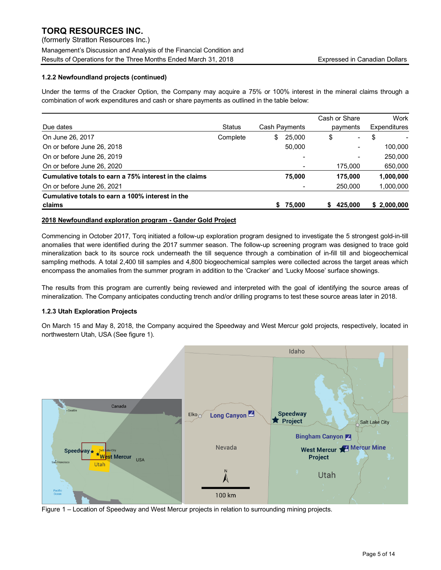(formerly Stratton Resources Inc.) Management's Discussion and Analysis of the Financial Condition and Results of Operations for the Three Months Ended March 31, 2018 **Expressed in Canadian Dollars** Expressed in Canadian Dollars

## **1.2.2 Newfoundland projects (continued)**

Under the terms of the Cracker Option, the Company may acquire a 75% or 100% interest in the mineral claims through a combination of work expenditures and cash or share payments as outlined in the table below:

|                                                        |               |               | Cash or Share |         |              | Work        |
|--------------------------------------------------------|---------------|---------------|---------------|---------|--------------|-------------|
| Due dates                                              | <b>Status</b> | Cash Payments | payments      |         | Expenditures |             |
| On June 26, 2017                                       | Complete      | \$<br>25,000  | \$            | ۰       | \$           |             |
| On or before June 26, 2018                             |               | 50.000        |               | ۰       |              | 100.000     |
| On or before June 26, 2019                             |               |               |               | -       |              | 250,000     |
| On or before June 26, 2020                             |               |               |               | 175,000 |              | 650,000     |
| Cumulative totals to earn a 75% interest in the claims |               | 75,000        |               | 175.000 |              | 1,000,000   |
| On or before June 26, 2021                             |               |               |               | 250,000 |              | 1,000,000   |
| Cumulative totals to earn a 100% interest in the       |               |               |               |         |              |             |
| claims                                                 |               | \$75,000      | S             | 425.000 |              | \$2,000,000 |

## **2018 Newfoundland exploration program - Gander Gold Project**

Commencing in October 2017, Torq initiated a follow-up exploration program designed to investigate the 5 strongest gold-in-till anomalies that were identified during the 2017 summer season. The follow-up screening program was designed to trace gold mineralization back to its source rock underneath the till sequence through a combination of in-fill till and biogeochemical sampling methods. A total 2,400 till samples and 4,800 biogeochemical samples were collected across the target areas which encompass the anomalies from the summer program in addition to the 'Cracker' and 'Lucky Moose' surface showings.

The results from this program are currently being reviewed and interpreted with the goal of identifying the source areas of mineralization. The Company anticipates conducting trench and/or drilling programs to test these source areas later in 2018.

## **1.2.3 Utah Exploration Projects**

On March 15 and May 8, 2018, the Company acquired the Speedway and West Mercur gold projects, respectively, located in northwestern Utah, USA (See figure 1).



Figure 1 – Location of Speedway and West Mercur projects in relation to surrounding mining projects.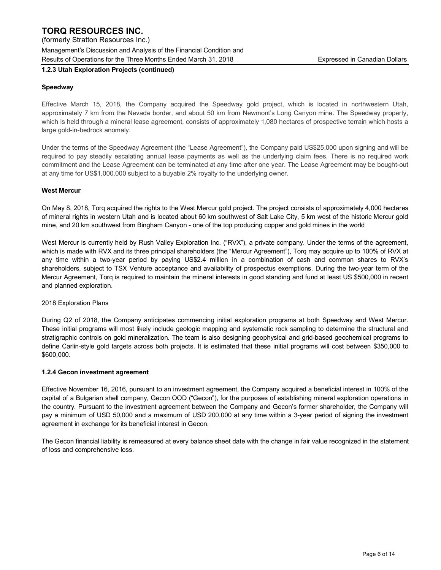Management's Discussion and Analysis of the Financial Condition and Results of Operations for the Three Months Ended March 31, 2018 **Expressed in Canadian Dollars** Expressed in Canadian Dollars

## **1.2.3 Utah Exploration Projects (continued)**

## **Speedway**

Effective March 15, 2018, the Company acquired the Speedway gold project, which is located in northwestern Utah, approximately 7 km from the Nevada border, and about 50 km from Newmont's Long Canyon mine. The Speedway property, which is held through a mineral lease agreement, consists of approximately 1,080 hectares of prospective terrain which hosts a large gold-in-bedrock anomaly.

Under the terms of the Speedway Agreement (the "Lease Agreement"), the Company paid US\$25,000 upon signing and will be required to pay steadily escalating annual lease payments as well as the underlying claim fees. There is no required work commitment and the Lease Agreement can be terminated at any time after one year. The Lease Agreement may be bought-out at any time for US\$1,000,000 subject to a buyable 2% royalty to the underlying owner.

### **West Mercur**

On May 8, 2018, Torq acquired the rights to the West Mercur gold project. The project consists of approximately 4,000 hectares of mineral rights in western Utah and is located about 60 km southwest of Salt Lake City, 5 km west of the historic Mercur gold mine, and 20 km southwest from Bingham Canyon - one of the top producing copper and gold mines in the world

West Mercur is currently held by Rush Valley Exploration Inc. ("RVX"), a private company. Under the terms of the agreement, which is made with RVX and its three principal shareholders (the "Mercur Agreement"), Torq may acquire up to 100% of RVX at any time within a two-year period by paying US\$2.4 million in a combination of cash and common shares to RVX's shareholders, subject to TSX Venture acceptance and availability of prospectus exemptions. During the two-year term of the Mercur Agreement, Torq is required to maintain the mineral interests in good standing and fund at least US \$500,000 in recent and planned exploration.

### 2018 Exploration Plans

During Q2 of 2018, the Company anticipates commencing initial exploration programs at both Speedway and West Mercur. These initial programs will most likely include geologic mapping and systematic rock sampling to determine the structural and stratigraphic controls on gold mineralization. The team is also designing geophysical and grid-based geochemical programs to define Carlin-style gold targets across both projects. It is estimated that these initial programs will cost between \$350,000 to \$600,000.

### **1.2.4 Gecon investment agreement**

Effective November 16, 2016, pursuant to an investment agreement, the Company acquired a beneficial interest in 100% of the capital of a Bulgarian shell company, Gecon OOD ("Gecon"), for the purposes of establishing mineral exploration operations in the country. Pursuant to the investment agreement between the Company and Gecon's former shareholder, the Company will pay a minimum of USD 50,000 and a maximum of USD 200,000 at any time within a 3-year period of signing the investment agreement in exchange for its beneficial interest in Gecon.

The Gecon financial liability is remeasured at every balance sheet date with the change in fair value recognized in the statement of loss and comprehensive loss.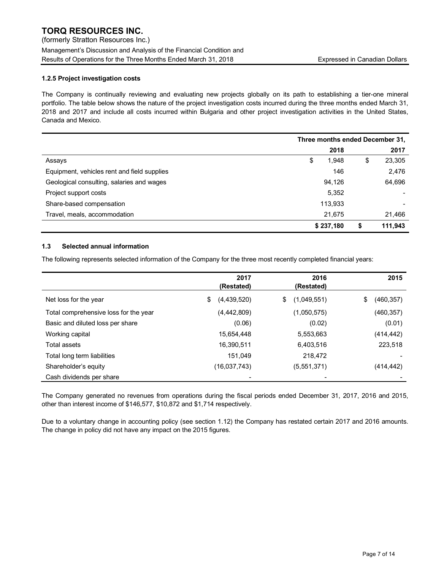(formerly Stratton Resources Inc.) Management's Discussion and Analysis of the Financial Condition and Results of Operations for the Three Months Ended March 31, 2018 **Expressed in Canadian Dollars** Expressed in Canadian Dollars

## **1.2.5 Project investigation costs**

The Company is continually reviewing and evaluating new projects globally on its path to establishing a tier-one mineral portfolio. The table below shows the nature of the project investigation costs incurred during the three months ended March 31, 2018 and 2017 and include all costs incurred within Bulgaria and other project investigation activities in the United States, Canada and Mexico.

|                                             | Three months ended December 31, |           |    |         |
|---------------------------------------------|---------------------------------|-----------|----|---------|
|                                             |                                 | 2018      |    | 2017    |
| Assays                                      | S                               | 1,948     | \$ | 23,305  |
| Equipment, vehicles rent and field supplies |                                 | 146       |    | 2,476   |
| Geological consulting, salaries and wages   |                                 | 94.126    |    | 64,696  |
| Project support costs                       |                                 | 5,352     |    |         |
| Share-based compensation                    |                                 | 113,933   |    |         |
| Travel, meals, accommodation                |                                 | 21,675    |    | 21,466  |
|                                             |                                 | \$237,180 | S  | 111,943 |

## **1.3 Selected annual information**

The following represents selected information of the Company for the three most recently completed financial years:

|                                       | 2017              | 2016              | 2015             |
|---------------------------------------|-------------------|-------------------|------------------|
|                                       | (Restated)        | (Restated)        |                  |
| Net loss for the year                 | \$<br>(4,439,520) | (1,049,551)<br>\$ | \$<br>(460, 357) |
| Total comprehensive loss for the year | (4,442,809)       | (1,050,575)       | (460, 357)       |
| Basic and diluted loss per share      | (0.06)            | (0.02)            | (0.01)           |
| Working capital                       | 15,654,448        | 5,553,663         | (414,442)        |
| Total assets                          | 16,390,511        | 6,403,516         | 223,518          |
| Total long term liabilities           | 151,049           | 218,472           |                  |
| Shareholder's equity                  | (16,037,743)      | (5,551,371)       | (414, 442)       |
| Cash dividends per share              |                   |                   |                  |

The Company generated no revenues from operations during the fiscal periods ended December 31, 2017, 2016 and 2015, other than interest income of \$146,577, \$10,872 and \$1,714 respectively.

Due to a voluntary change in accounting policy (see section 1.12) the Company has restated certain 2017 and 2016 amounts. The change in policy did not have any impact on the 2015 figures.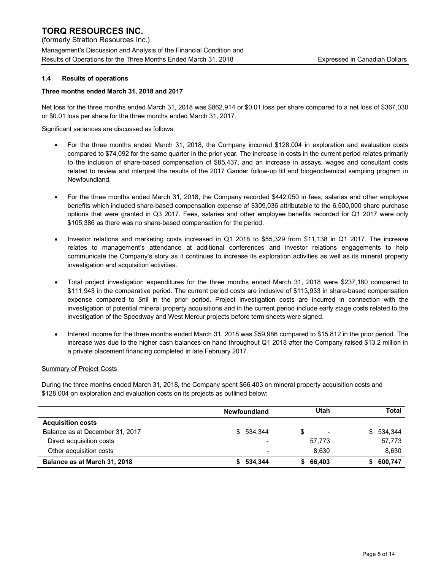(formerly Stratton Resources Inc.) Management's Discussion and Analysis of the Financial Condition and Results of Operations for the Three Months Ended March 31, 2018 **Expressed in Canadian Dollars** 

## **1.4 Results of operations**

## **Three months ended March 31, 2018 and 2017**

Net loss for the three months ended March 31, 2018 was \$862,914 or \$0.01 loss per share compared to a net loss of \$367,030 or \$0.01 loss per share for the three months ended March 31, 2017.

Significant variances are discussed as follows:

- For the three months ended March 31, 2018, the Company incurred \$128,004 in exploration and evaluation costs compared to \$74,092 for the same quarter in the prior year. The increase in costs in the current period relates primarily to the inclusion of share-based compensation of \$85,437, and an increase in assays, wages and consultant costs related to review and interpret the results of the 2017 Gander follow-up till and biogeochemical sampling program in Newfoundland.
- For the three months ended March 31, 2018, the Company recorded \$442,050 in fees, salaries and other employee benefits which included share-based compensation expense of \$309,036 attributable to the 6,500,000 share purchase options that were granted in Q3 2017. Fees, salaries and other employee benefits recorded for Q1 2017 were only \$105,386 as there was no share-based compensation for the period.
- Investor relations and marketing costs increased in Q1 2018 to \$55,329 from \$11,138 in Q1 2017. The increase relates to management's attendance at additional conferences and investor relations engagements to help communicate the Company's story as it continues to increase its exploration activities as well as its mineral property investigation and acquisition activities.
- Total project investigation expenditures for the three months ended March 31, 2018 were \$237,180 compared to \$111,943 in the comparative period. The current period costs are inclusive of \$113,933 in share-based compensation expense compared to \$nil in the prior period. Project investigation costs are incurred in connection with the investigation of potential mineral property acquisitions and in the current period include early stage costs related to the investigation of the Speedway and West Mercur projects before term sheets were signed.
- Interest income for the three months ended March 31, 2018 was \$59,986 compared to \$15,812 in the prior period. The increase was due to the higher cash balances on hand throughout Q1 2018 after the Company raised \$13.2 million in a private placement financing completed in late February 2017.

### Summary of Project Costs

During the three months ended March 31, 2018, the Company spent \$66,403 on mineral property acquisition costs and \$128,004 on exploration and evaluation costs on its projects as outlined below:

|                                 | <b>Newfoundland</b>      | Utah     | Total     |
|---------------------------------|--------------------------|----------|-----------|
| <b>Acquisition costs</b>        |                          |          |           |
| Balance as at December 31, 2017 | \$534.344                | S<br>۰   | \$534,344 |
| Direct acquisition costs        | ٠                        | 57,773   | 57,773    |
| Other acquisition costs         | $\overline{\phantom{0}}$ | 8.630    | 8,630     |
| Balance as at March 31, 2018    | 534.344                  | \$66,403 | 600.747   |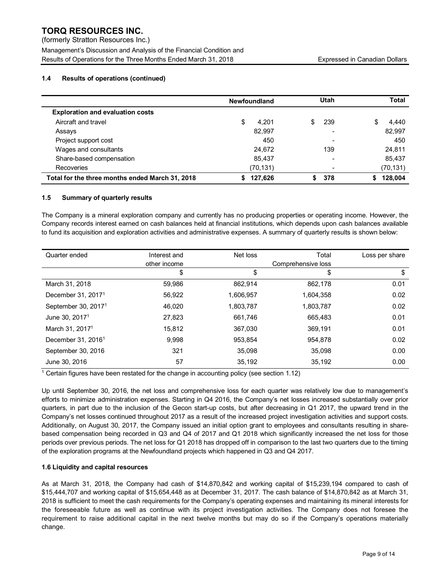(formerly Stratton Resources Inc.) Management's Discussion and Analysis of the Financial Condition and Results of Operations for the Three Months Ended March 31, 2018 **Expressed in Canadian Dollars** 

## **1.4 Results of operations (continued)**

|                                                 | <b>Newfoundland</b> | Utah       | Total       |
|-------------------------------------------------|---------------------|------------|-------------|
| <b>Exploration and evaluation costs</b>         |                     |            |             |
| Aircraft and travel                             | S<br>4.201          | \$.<br>239 | \$<br>4,440 |
| Assays                                          | 82.997              |            | 82,997      |
| Project support cost                            | 450                 |            | 450         |
| Wages and consultants                           | 24,672              | 139        | 24,811      |
| Share-based compensation                        | 85.437              |            | 85,437      |
| <b>Recoveries</b>                               | (70, 131)           |            | (70, 131)   |
| Total for the three months ended March 31, 2018 | 127.626             | 378        | 128.004     |

## **1.5 Summary of quarterly results**

The Company is a mineral exploration company and currently has no producing properties or operating income. However, the Company records interest earned on cash balances held at financial institutions, which depends upon cash balances available to fund its acquisition and exploration activities and administrative expenses. A summary of quarterly results is shown below:

| Quarter ended                   | Interest and | Net loss  | Total              | Loss per share |
|---------------------------------|--------------|-----------|--------------------|----------------|
|                                 | other income |           | Comprehensive loss |                |
|                                 | \$           | \$        | \$                 | \$             |
| March 31, 2018                  | 59,986       | 862.914   | 862,178            | 0.01           |
| December 31, 2017 <sup>1</sup>  | 56.922       | 1,606,957 | 1,604,358          | 0.02           |
| September 30, 2017 <sup>1</sup> | 46,020       | 1,803,787 | 1,803,787          | 0.02           |
| June 30, 2017 <sup>1</sup>      | 27,823       | 661.746   | 665,483            | 0.01           |
| March 31, 2017 <sup>1</sup>     | 15.812       | 367,030   | 369,191            | 0.01           |
| December 31, $20161$            | 9.998        | 953.854   | 954.878            | 0.02           |
| September 30, 2016              | 321          | 35.098    | 35.098             | 0.00           |
| June 30, 2016                   | 57           | 35,192    | 35,192             | 0.00           |

<sup>1</sup> Certain figures have been restated for the change in accounting policy (see section 1.12)

Up until September 30, 2016, the net loss and comprehensive loss for each quarter was relatively low due to management's efforts to minimize administration expenses. Starting in Q4 2016, the Company's net losses increased substantially over prior quarters, in part due to the inclusion of the Gecon start-up costs, but after decreasing in Q1 2017, the upward trend in the Company's net losses continued throughout 2017 as a result of the increased project investigation activities and support costs. Additionally, on August 30, 2017, the Company issued an initial option grant to employees and consultants resulting in sharebased compensation being recorded in Q3 and Q4 of 2017 and Q1 2018 which significantly increased the net loss for those periods over previous periods. The net loss for Q1 2018 has dropped off in comparison to the last two quarters due to the timing of the exploration programs at the Newfoundland projects which happened in Q3 and Q4 2017.

## **1.6 Liquidity and capital resources**

As at March 31, 2018, the Company had cash of \$14,870,842 and working capital of \$15,239,194 compared to cash of \$15,444,707 and working capital of \$15,654,448 as at December 31, 2017. The cash balance of \$14,870,842 as at March 31, 2018 is sufficient to meet the cash requirements for the Company's operating expenses and maintaining its mineral interests for the foreseeable future as well as continue with its project investigation activities. The Company does not foresee the requirement to raise additional capital in the next twelve months but may do so if the Company's operations materially change.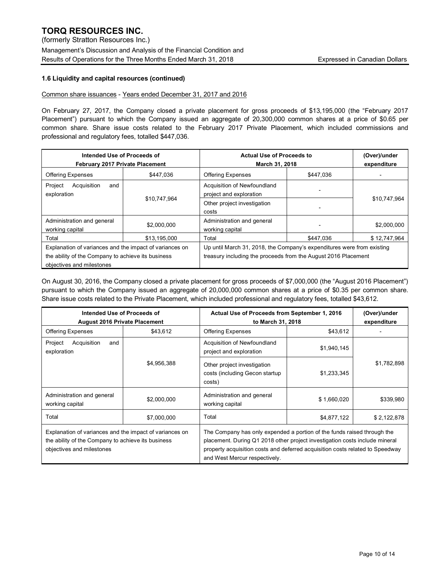(formerly Stratton Resources Inc.) Management's Discussion and Analysis of the Financial Condition and Results of Operations for the Three Months Ended March 31, 2018 **Expressed in Canadian Dollars** 

## **1.6 Liquidity and capital resources (continued)**

### Common share issuances - Years ended December 31, 2017 and 2016

On February 27, 2017, the Company closed a private placement for gross proceeds of \$13,195,000 (the "February 2017 Placement") pursuant to which the Company issued an aggregate of 20,300,000 common shares at a price of \$0.65 per common share. Share issue costs related to the February 2017 Private Placement, which included commissions and professional and regulatory fees, totalled \$447,036.

| Intended Use of Proceeds of<br>February 2017 Private Placement                                                                             |              | <b>Actual Use of Proceeds to</b><br>March 31, 2018                                                                                       |           |              |  | (Over)/under<br>expenditure |
|--------------------------------------------------------------------------------------------------------------------------------------------|--------------|------------------------------------------------------------------------------------------------------------------------------------------|-----------|--------------|--|-----------------------------|
| <b>Offering Expenses</b>                                                                                                                   | \$447.036    | <b>Offering Expenses</b>                                                                                                                 | \$447.036 |              |  |                             |
| Project<br>Acquisition<br>and<br>exploration                                                                                               |              | Acquisition of Newfoundland<br>project and exploration                                                                                   |           |              |  |                             |
|                                                                                                                                            | \$10,747,964 | Other project investigation<br>costs                                                                                                     |           | \$10,747,964 |  |                             |
| Administration and general<br>working capital                                                                                              | \$2,000,000  | Administration and general<br>working capital                                                                                            |           | \$2,000,000  |  |                             |
| Total                                                                                                                                      | \$13,195,000 | Total                                                                                                                                    | \$447.036 | \$12,747,964 |  |                             |
| Explanation of variances and the impact of variances on<br>the ability of the Company to achieve its business<br>objectives and milestones |              | Up until March 31, 2018, the Company's expenditures were from existing<br>treasury including the proceeds from the August 2016 Placement |           |              |  |                             |

On August 30, 2016, the Company closed a private placement for gross proceeds of \$7,000,000 (the "August 2016 Placement") pursuant to which the Company issued an aggregate of 20,000,000 common shares at a price of \$0.35 per common share. Share issue costs related to the Private Placement, which included professional and regulatory fees, totalled \$43,612.

| Intended Use of Proceeds of<br><b>August 2016 Private Placement</b>                                                                        |             | Actual Use of Proceeds from September 1, 2016<br>to March 31, 2018                                                                                                                                                                                                       | (Over)/under<br>expenditure |             |
|--------------------------------------------------------------------------------------------------------------------------------------------|-------------|--------------------------------------------------------------------------------------------------------------------------------------------------------------------------------------------------------------------------------------------------------------------------|-----------------------------|-------------|
| <b>Offering Expenses</b>                                                                                                                   | \$43,612    | <b>Offering Expenses</b>                                                                                                                                                                                                                                                 | \$43,612                    |             |
| Project<br>Acquisition<br>and<br>exploration                                                                                               |             | Acquisition of Newfoundland<br>project and exploration                                                                                                                                                                                                                   | \$1,940,145                 |             |
|                                                                                                                                            | \$4,956,388 | Other project investigation<br>costs (including Gecon startup<br>costs)                                                                                                                                                                                                  | \$1,233,345                 | \$1,782,898 |
| Administration and general<br>working capital                                                                                              | \$2,000,000 | Administration and general<br>working capital                                                                                                                                                                                                                            | \$1,660,020                 | \$339,980   |
| Total                                                                                                                                      | \$7,000,000 | Total                                                                                                                                                                                                                                                                    | \$4,877,122                 | \$2,122,878 |
| Explanation of variances and the impact of variances on<br>the ability of the Company to achieve its business<br>objectives and milestones |             | The Company has only expended a portion of the funds raised through the<br>placement. During Q1 2018 other project investigation costs include mineral<br>property acquisition costs and deferred acquisition costs related to Speedway<br>and West Mercur respectively. |                             |             |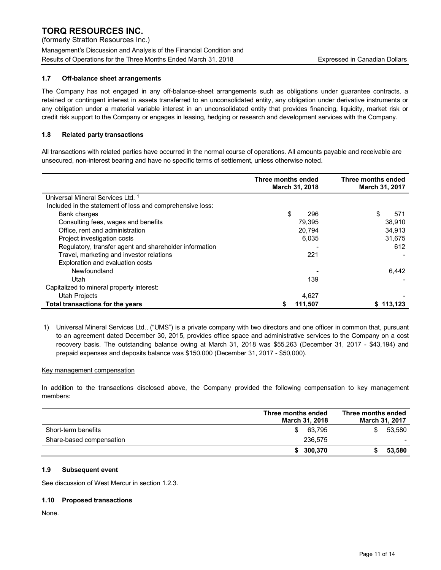(formerly Stratton Resources Inc.) Management's Discussion and Analysis of the Financial Condition and Results of Operations for the Three Months Ended March 31, 2018 **Expressed in Canadian Dollars** Expressed in Canadian Dollars

## **1.7 Off-balance sheet arrangements**

The Company has not engaged in any off-balance-sheet arrangements such as obligations under guarantee contracts, a retained or contingent interest in assets transferred to an unconsolidated entity, any obligation under derivative instruments or any obligation under a material variable interest in an unconsolidated entity that provides financing, liquidity, market risk or credit risk support to the Company or engages in leasing, hedging or research and development services with the Company.

## **1.8 Related party transactions**

All transactions with related parties have occurred in the normal course of operations. All amounts payable and receivable are unsecured, non-interest bearing and have no specific terms of settlement, unless otherwise noted.

|                                                           | Three months ended<br>March 31, 2018 | Three months ended<br>March 31, 2017 |
|-----------------------------------------------------------|--------------------------------------|--------------------------------------|
| Universal Mineral Services Ltd. <sup>1</sup>              |                                      |                                      |
| Included in the statement of loss and comprehensive loss: |                                      |                                      |
| Bank charges                                              | \$<br>296                            | \$<br>571                            |
| Consulting fees, wages and benefits                       | 79.395                               | 38.910                               |
| Office, rent and administration                           | 20.794                               | 34.913                               |
| Project investigation costs                               | 6,035                                | 31.675                               |
| Regulatory, transfer agent and shareholder information    |                                      | 612                                  |
| Travel, marketing and investor relations                  | 221                                  |                                      |
| Exploration and evaluation costs                          |                                      |                                      |
| Newfoundland                                              |                                      | 6.442                                |
| Utah                                                      | 139                                  |                                      |
| Capitalized to mineral property interest:                 |                                      |                                      |
| <b>Utah Projects</b>                                      | 4,627                                |                                      |
| Total transactions for the years                          | 111.507                              | \$113.123                            |

1) Universal Mineral Services Ltd., ("UMS") is a private company with two directors and one officer in common that, pursuant to an agreement dated December 30, 2015, provides office space and administrative services to the Company on a cost recovery basis. The outstanding balance owing at March 31, 2018 was \$55,263 (December 31, 2017 - \$43,194) and prepaid expenses and deposits balance was \$150,000 (December 31, 2017 - \$50,000).

### Key management compensation

In addition to the transactions disclosed above, the Company provided the following compensation to key management members:

|                          | Three months ended<br><b>March 31, 2018</b> | Three months ended<br>March 31, 2017 |
|--------------------------|---------------------------------------------|--------------------------------------|
| Short-term benefits      | 63.795<br>\$                                | 53.580<br>\$.                        |
| Share-based compensation | 236.575                                     |                                      |
|                          | \$300,370                                   | 53.580                               |

### **1.9 Subsequent event**

See discussion of West Mercur in section 1.2.3.

### **1.10 Proposed transactions**

None.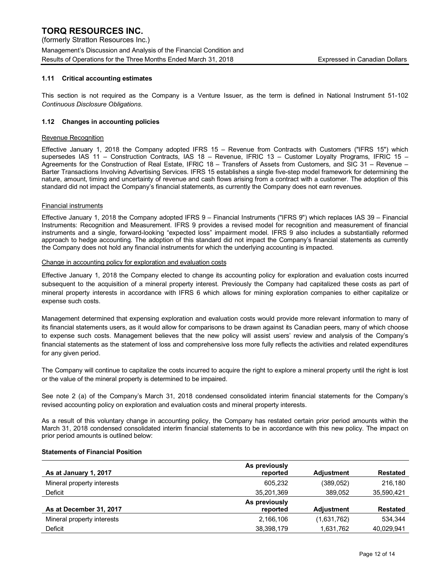### **1.11 Critical accounting estimates**

This section is not required as the Company is a Venture Issuer, as the term is defined in National Instrument 51-102 *Continuous Disclosure Obligations*.

#### **1.12 Changes in accounting policies**

#### Revenue Recognition

Effective January 1, 2018 the Company adopted IFRS 15 – Revenue from Contracts with Customers ("IFRS 15") which supersedes IAS 11 – Construction Contracts, IAS 18 – Revenue, IFRIC 13 – Customer Loyalty Programs, IFRIC 15 – Agreements for the Construction of Real Estate, IFRIC 18 – Transfers of Assets from Customers, and SIC 31 – Revenue – Barter Transactions Involving Advertising Services. IFRS 15 establishes a single five-step model framework for determining the nature, amount, timing and uncertainty of revenue and cash flows arising from a contract with a customer. The adoption of this standard did not impact the Company's financial statements, as currently the Company does not earn revenues.

#### Financial instruments

Effective January 1, 2018 the Company adopted IFRS 9 – Financial Instruments ("IFRS 9") which replaces IAS 39 – Financial Instruments: Recognition and Measurement. IFRS 9 provides a revised model for recognition and measurement of financial instruments and a single, forward-looking "expected loss" impairment model. IFRS 9 also includes a substantially reformed approach to hedge accounting. The adoption of this standard did not impact the Company's financial statements as currently the Company does not hold any financial instruments for which the underlying accounting is impacted.

#### Change in accounting policy for exploration and evaluation costs

Effective January 1, 2018 the Company elected to change its accounting policy for exploration and evaluation costs incurred subsequent to the acquisition of a mineral property interest. Previously the Company had capitalized these costs as part of mineral property interests in accordance with IFRS 6 which allows for mining exploration companies to either capitalize or expense such costs.

Management determined that expensing exploration and evaluation costs would provide more relevant information to many of its financial statements users, as it would allow for comparisons to be drawn against its Canadian peers, many of which choose to expense such costs. Management believes that the new policy will assist users' review and analysis of the Company's financial statements as the statement of loss and comprehensive loss more fully reflects the activities and related expenditures for any given period.

The Company will continue to capitalize the costs incurred to acquire the right to explore a mineral property until the right is lost or the value of the mineral property is determined to be impaired.

See note 2 (a) of the Company's March 31, 2018 condensed consolidated interim financial statements for the Company's revised accounting policy on exploration and evaluation costs and mineral property interests.

As a result of this voluntary change in accounting policy, the Company has restated certain prior period amounts within the March 31, 2018 condensed consolidated interim financial statements to be in accordance with this new policy. The impact on prior period amounts is outlined below:

#### **Statements of Financial Position**

|                            | As previously |                   |                 |
|----------------------------|---------------|-------------------|-----------------|
| As at January 1, 2017      | reported      | <b>Adiustment</b> | <b>Restated</b> |
| Mineral property interests | 605.232       | (389, 052)        | 216,180         |
| Deficit                    | 35,201,369    | 389.052           | 35,590,421      |
|                            | As previously |                   |                 |
| As at December 31, 2017    | reported      | <b>Adiustment</b> | <b>Restated</b> |
| Mineral property interests | 2.166.106     | (1,631,762)       | 534.344         |
| Deficit                    | 38,398,179    | 1,631,762         | 40,029,941      |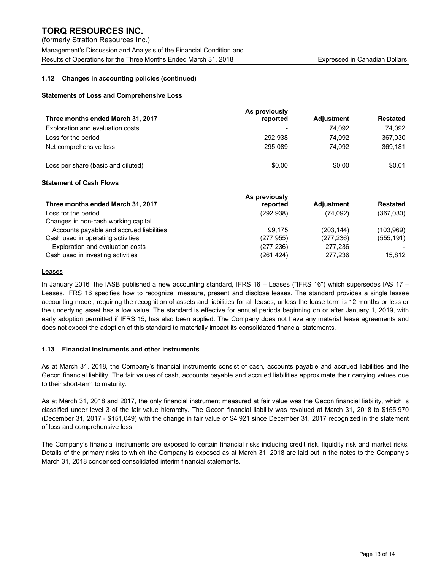(formerly Stratton Resources Inc.) Management's Discussion and Analysis of the Financial Condition and Results of Operations for the Three Months Ended March 31, 2018 **Expressed in Canadian Dollars** Expressed in Canadian Dollars

## **1.12 Changes in accounting policies (continued)**

### **Statements of Loss and Comprehensive Loss**

| Three months ended March 31, 2017  | As previously<br>reported | <b>Adiustment</b> | <b>Restated</b> |
|------------------------------------|---------------------------|-------------------|-----------------|
| Exploration and evaluation costs   |                           | 74.092            | 74,092          |
| Loss for the period                | 292.938                   | 74.092            | 367,030         |
| Net comprehensive loss             | 295.089                   | 74.092            | 369,181         |
| Loss per share (basic and diluted) | \$0.00                    | \$0.00            | \$0.01          |

#### **Statement of Cash Flows**

|                                          | As previously |                   |                 |
|------------------------------------------|---------------|-------------------|-----------------|
| Three months ended March 31, 2017        | reported      | <b>Adiustment</b> | <b>Restated</b> |
| Loss for the period                      | (292, 938)    | (74,092)          | (367,030)       |
| Changes in non-cash working capital      |               |                   |                 |
| Accounts payable and accrued liabilities | 99.175        | (203, 144)        | (103,969)       |
| Cash used in operating activities        | (277, 955)    | (277, 236)        | (555, 191)      |
| Exploration and evaluation costs         | (277, 236)    | 277,236           |                 |
| Cash used in investing activities        | (261,424)     | 277,236           | 15,812          |

### **Leases**

In January 2016, the IASB published a new accounting standard, IFRS 16 – Leases ("IFRS 16") which supersedes IAS 17 – Leases. IFRS 16 specifies how to recognize, measure, present and disclose leases. The standard provides a single lessee accounting model, requiring the recognition of assets and liabilities for all leases, unless the lease term is 12 months or less or the underlying asset has a low value. The standard is effective for annual periods beginning on or after January 1, 2019, with early adoption permitted if IFRS 15, has also been applied. The Company does not have any material lease agreements and does not expect the adoption of this standard to materially impact its consolidated financial statements.

### **1.13 Financial instruments and other instruments**

As at March 31, 2018, the Company's financial instruments consist of cash, accounts payable and accrued liabilities and the Gecon financial liability. The fair values of cash, accounts payable and accrued liabilities approximate their carrying values due to their short-term to maturity.

As at March 31, 2018 and 2017, the only financial instrument measured at fair value was the Gecon financial liability, which is classified under level 3 of the fair value hierarchy. The Gecon financial liability was revalued at March 31, 2018 to \$155,970 (December 31, 2017 - \$151,049) with the change in fair value of \$4,921 since December 31, 2017 recognized in the statement of loss and comprehensive loss.

The Company's financial instruments are exposed to certain financial risks including credit risk, liquidity risk and market risks. Details of the primary risks to which the Company is exposed as at March 31, 2018 are laid out in the notes to the Company's March 31, 2018 condensed consolidated interim financial statements.